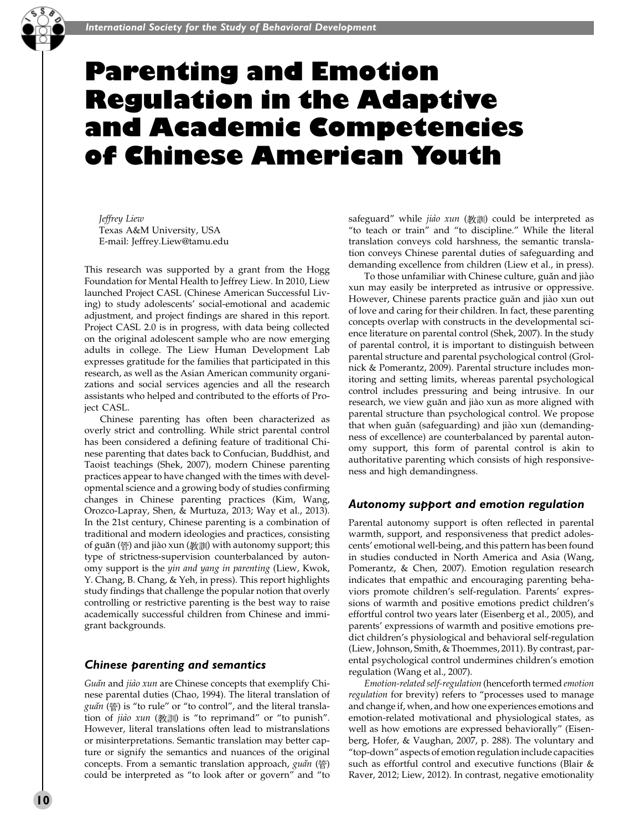# Parenting and Emotion Regulation in the Adaptive and Academic Competencies of Chinese American Youth

Jeffrey Liew Texas A&M University, USA E-mail: Jeffrey.Liew@tamu.edu

This research was supported by a grant from the Hogg Foundation for Mental Health to Jeffrey Liew. In 2010, Liew launched Project CASL (Chinese American Successful Living) to study adolescents' social-emotional and academic adjustment, and project findings are shared in this report. Project CASL 2.0 is in progress, with data being collected on the original adolescent sample who are now emerging adults in college. The Liew Human Development Lab expresses gratitude for the families that participated in this research, as well as the Asian American community organizations and social services agencies and all the research assistants who helped and contributed to the efforts of Project CASL.

Chinese parenting has often been characterized as overly strict and controlling. While strict parental control has been considered a defining feature of traditional Chinese parenting that dates back to Confucian, Buddhist, and Taoist teachings (Shek, 2007), modern Chinese parenting practices appear to have changed with the times with developmental science and a growing body of studies confirming changes in Chinese parenting practices (Kim, Wang, Orozco-Lapray, Shen, & Murtuza, 2013; Way et al., 2013). In the 21st century, Chinese parenting is a combination of traditional and modern ideologies and practices, consisting of guăn (管) and jiào xun (教訓) with autonomy support; this type of strictness-supervision counterbalanced by autonomy support is the yin and yang in parenting (Liew, Kwok, Y. Chang, B. Chang, & Yeh, in press). This report highlights study findings that challenge the popular notion that overly controlling or restrictive parenting is the best way to raise academically successful children from Chinese and immigrant backgrounds.

## Chinese parenting and semantics

Guan and jiao xun are Chinese concepts that exemplify Chinese parental duties (Chao, 1994). The literal translation of  $\gamma$ uăn ( $\stackrel{\leftrightarrow}{\oplus}$ ) is "to rule" or "to control", and the literal translation of *jiào xun* (教訓) is "to reprimand" or "to punish". However, literal translations often lead to mistranslations or misinterpretations. Semantic translation may better capture or signify the semantics and nuances of the original concepts. From a semantic translation approach, guăn ( $\circled{r}$ ) could be interpreted as ''to look after or govern'' and ''to

safeguard" while jiào xun (教訓) could be interpreted as "to teach or train" and "to discipline." While the literal translation conveys cold harshness, the semantic translation conveys Chinese parental duties of safeguarding and demanding excellence from children (Liew et al., in press).

To those unfamiliar with Chinese culture, guăn and jiào xun may easily be interpreted as intrusive or oppressive. However, Chinese parents practice guăn and jiào xun out of love and caring for their children. In fact, these parenting concepts overlap with constructs in the developmental science literature on parental control (Shek, 2007). In the study of parental control, it is important to distinguish between parental structure and parental psychological control (Grolnick & Pomerantz, 2009). Parental structure includes monitoring and setting limits, whereas parental psychological control includes pressuring and being intrusive. In our research, we view guăn and jiào xun as more aligned with parental structure than psychological control. We propose that when guăn (safeguarding) and jiào xun (demandingness of excellence) are counterbalanced by parental autonomy support, this form of parental control is akin to authoritative parenting which consists of high responsiveness and high demandingness.

## Autonomy support and emotion regulation

Parental autonomy support is often reflected in parental warmth, support, and responsiveness that predict adolescents' emotional well-being, and this pattern has been found in studies conducted in North America and Asia (Wang, Pomerantz, & Chen, 2007). Emotion regulation research indicates that empathic and encouraging parenting behaviors promote children's self-regulation. Parents' expressions of warmth and positive emotions predict children's effortful control two years later (Eisenberg et al., 2005), and parents' expressions of warmth and positive emotions predict children's physiological and behavioral self-regulation (Liew, Johnson, Smith, & Thoemmes, 2011). By contrast, parental psychological control undermines children's emotion regulation (Wang et al., 2007).

Emotion-related self-regulation (henceforth termed emotion regulation for brevity) refers to ''processes used to manage and change if, when, and how one experiences emotions and emotion-related motivational and physiological states, as well as how emotions are expressed behaviorally'' (Eisenberg, Hofer, & Vaughan, 2007, p. 288). The voluntary and ''top-down'' aspects of emotion regulation include capacities such as effortful control and executive functions (Blair & Raver, 2012; Liew, 2012). In contrast, negative emotionality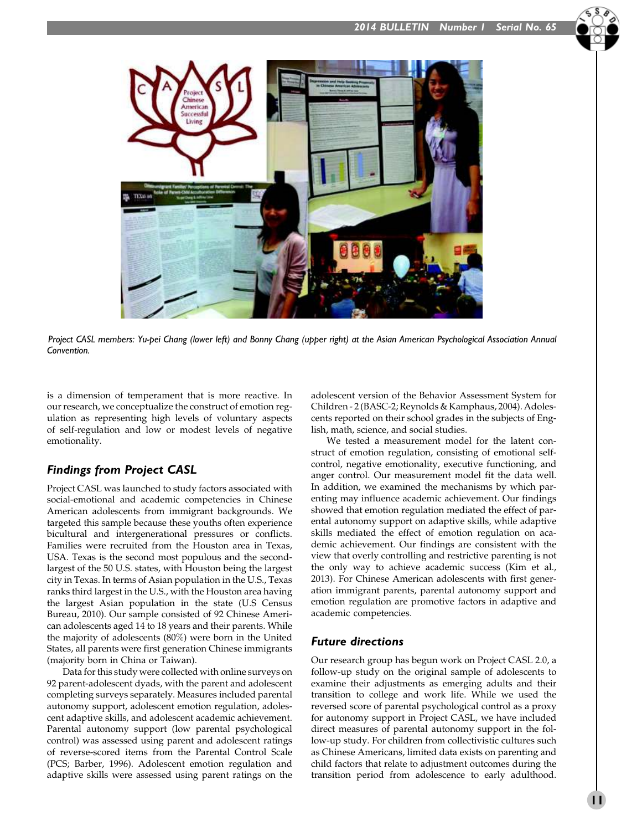

*Project CASL members: Yu-pei Chang (lower left) and Bonny Chang (upper right) at the Asian American Psychological Association Annual Convention.*

is a dimension of temperament that is more reactive. In our research, we conceptualize the construct of emotion regulation as representing high levels of voluntary aspects of self-regulation and low or modest levels of negative emotionality.

## Findings from Project CASL

Project CASL was launched to study factors associated with social-emotional and academic competencies in Chinese American adolescents from immigrant backgrounds. We targeted this sample because these youths often experience bicultural and intergenerational pressures or conflicts. Families were recruited from the Houston area in Texas, USA. Texas is the second most populous and the secondlargest of the 50 U.S. states, with Houston being the largest city in Texas. In terms of Asian population in the U.S., Texas ranks third largest in the U.S., with the Houston area having the largest Asian population in the state (U.S Census Bureau, 2010). Our sample consisted of 92 Chinese American adolescents aged 14 to 18 years and their parents. While the majority of adolescents (80%) were born in the United States, all parents were first generation Chinese immigrants (majority born in China or Taiwan).

Data for this study were collected with online surveys on 92 parent-adolescent dyads, with the parent and adolescent completing surveys separately. Measures included parental autonomy support, adolescent emotion regulation, adolescent adaptive skills, and adolescent academic achievement. Parental autonomy support (low parental psychological control) was assessed using parent and adolescent ratings of reverse-scored items from the Parental Control Scale (PCS; Barber, 1996). Adolescent emotion regulation and adaptive skills were assessed using parent ratings on the

adolescent version of the Behavior Assessment System for Children - 2 (BASC-2; Reynolds & Kamphaus, 2004). Adolescents reported on their school grades in the subjects of English, math, science, and social studies.

We tested a measurement model for the latent construct of emotion regulation, consisting of emotional selfcontrol, negative emotionality, executive functioning, and anger control. Our measurement model fit the data well. In addition, we examined the mechanisms by which parenting may influence academic achievement. Our findings showed that emotion regulation mediated the effect of parental autonomy support on adaptive skills, while adaptive skills mediated the effect of emotion regulation on academic achievement. Our findings are consistent with the view that overly controlling and restrictive parenting is not the only way to achieve academic success (Kim et al., 2013). For Chinese American adolescents with first generation immigrant parents, parental autonomy support and emotion regulation are promotive factors in adaptive and academic competencies.

## Future directions

Our research group has begun work on Project CASL 2.0, a follow-up study on the original sample of adolescents to examine their adjustments as emerging adults and their transition to college and work life. While we used the reversed score of parental psychological control as a proxy for autonomy support in Project CASL, we have included direct measures of parental autonomy support in the follow-up study. For children from collectivistic cultures such as Chinese Americans, limited data exists on parenting and child factors that relate to adjustment outcomes during the transition period from adolescence to early adulthood.

 $\frac{1}{1}$